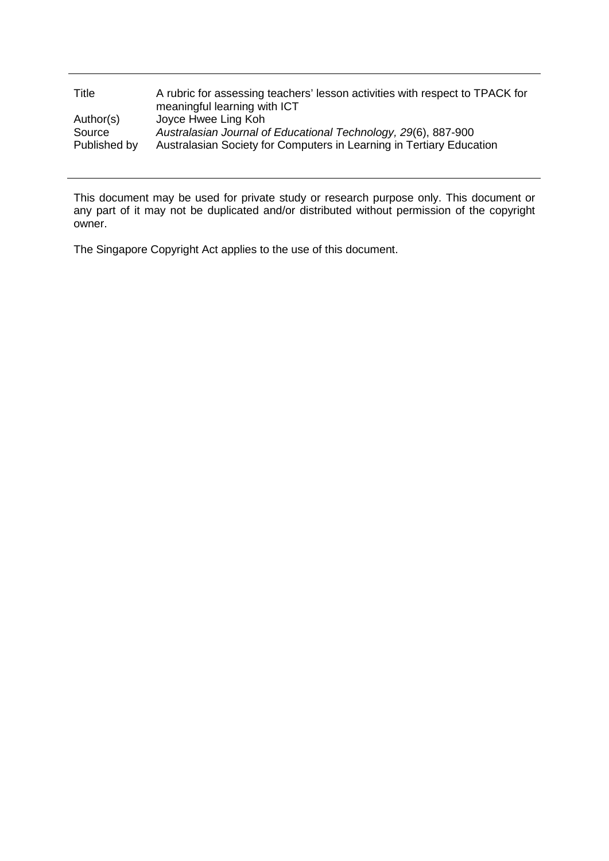| Title                  | A rubric for assessing teachers' lesson activities with respect to TPACK for<br>meaningful learning with ICT                           |
|------------------------|----------------------------------------------------------------------------------------------------------------------------------------|
| Author(s)              | Joyce Hwee Ling Koh                                                                                                                    |
| Source<br>Published by | Australasian Journal of Educational Technology, 29(6), 887-900<br>Australasian Society for Computers in Learning in Tertiary Education |

This document may be used for private study or research purpose only. This document or any part of it may not be duplicated and/or distributed without permission of the copyright owner.

The Singapore Copyright Act applies to the use of this document.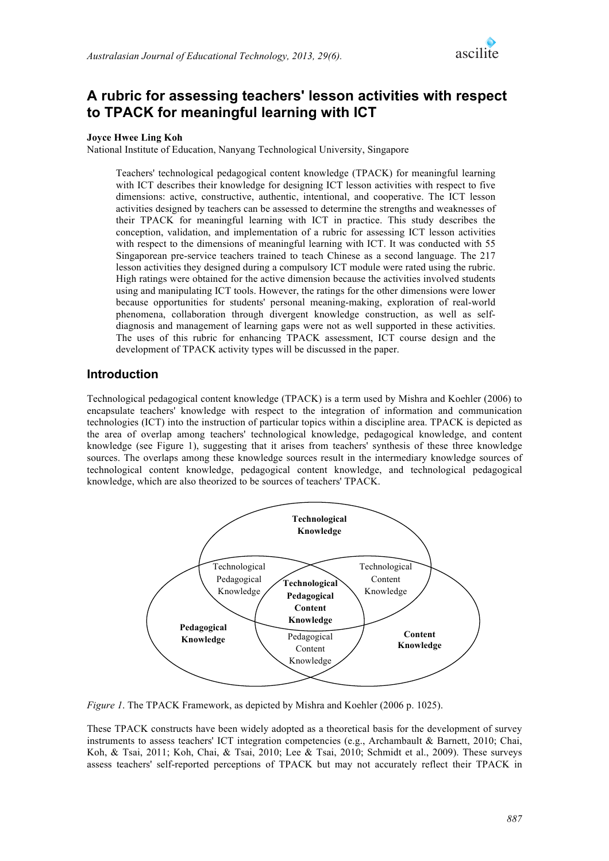

# **A rubric for assessing teachers' lesson activities with respect to TPACK for meaningful learning with ICT**

### **Joyce Hwee Ling Koh**

National Institute of Education, Nanyang Technological University, Singapore

Teachers' technological pedagogical content knowledge (TPACK) for meaningful learning with ICT describes their knowledge for designing ICT lesson activities with respect to five dimensions: active, constructive, authentic, intentional, and cooperative. The ICT lesson activities designed by teachers can be assessed to determine the strengths and weaknesses of their TPACK for meaningful learning with ICT in practice. This study describes the conception, validation, and implementation of a rubric for assessing ICT lesson activities with respect to the dimensions of meaningful learning with ICT. It was conducted with 55 Singaporean pre-service teachers trained to teach Chinese as a second language. The 217 lesson activities they designed during a compulsory ICT module were rated using the rubric. High ratings were obtained for the active dimension because the activities involved students using and manipulating ICT tools. However, the ratings for the other dimensions were lower because opportunities for students' personal meaning-making, exploration of real-world phenomena, collaboration through divergent knowledge construction, as well as selfdiagnosis and management of learning gaps were not as well supported in these activities. The uses of this rubric for enhancing TPACK assessment, ICT course design and the development of TPACK activity types will be discussed in the paper.

## **Introduction**

Technological pedagogical content knowledge (TPACK) is a term used by Mishra and Koehler (2006) to encapsulate teachers' knowledge with respect to the integration of information and communication technologies (ICT) into the instruction of particular topics within a discipline area. TPACK is depicted as the area of overlap among teachers' technological knowledge, pedagogical knowledge, and content knowledge (see Figure 1), suggesting that it arises from teachers' synthesis of these three knowledge sources. The overlaps among these knowledge sources result in the intermediary knowledge sources of technological content knowledge, pedagogical content knowledge, and technological pedagogical knowledge, which are also theorized to be sources of teachers' TPACK.



*Figure 1*. The TPACK Framework, as depicted by Mishra and Koehler (2006 p. 1025).

These TPACK constructs have been widely adopted as a theoretical basis for the development of survey instruments to assess teachers' ICT integration competencies (e.g., Archambault & Barnett, 2010; Chai, Koh, & Tsai, 2011; Koh, Chai, & Tsai, 2010; Lee & Tsai, 2010; Schmidt et al., 2009). These surveys assess teachers' self-reported perceptions of TPACK but may not accurately reflect their TPACK in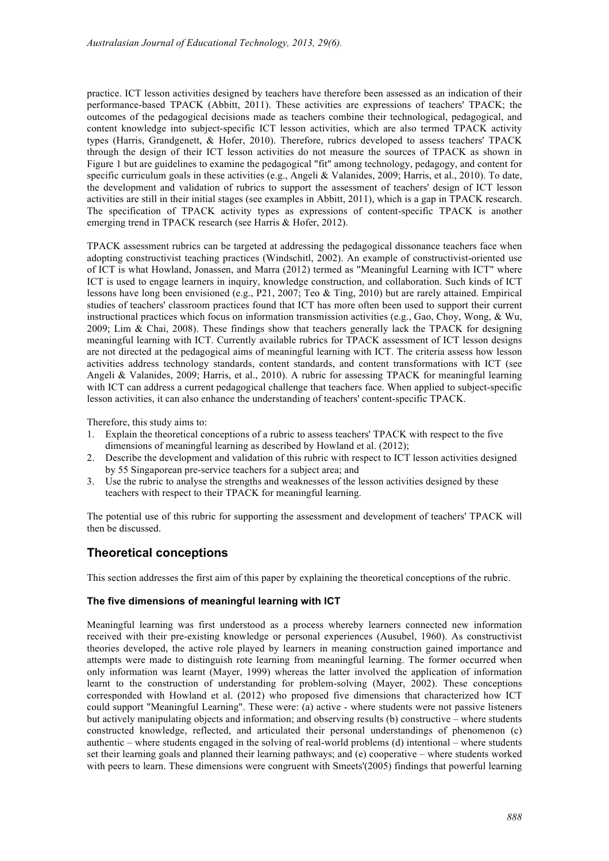practice. ICT lesson activities designed by teachers have therefore been assessed as an indication of their performance-based TPACK (Abbitt, 2011). These activities are expressions of teachers' TPACK; the outcomes of the pedagogical decisions made as teachers combine their technological, pedagogical, and content knowledge into subject-specific ICT lesson activities, which are also termed TPACK activity types (Harris, Grandgenett, & Hofer, 2010). Therefore, rubrics developed to assess teachers' TPACK through the design of their ICT lesson activities do not measure the sources of TPACK as shown in Figure 1 but are guidelines to examine the pedagogical "fit" among technology, pedagogy, and content for specific curriculum goals in these activities (e.g., Angeli & Valanides, 2009; Harris, et al., 2010). To date, the development and validation of rubrics to support the assessment of teachers' design of ICT lesson activities are still in their initial stages (see examples in Abbitt, 2011), which is a gap in TPACK research. The specification of TPACK activity types as expressions of content-specific TPACK is another emerging trend in TPACK research (see Harris & Hofer, 2012).

TPACK assessment rubrics can be targeted at addressing the pedagogical dissonance teachers face when adopting constructivist teaching practices (Windschitl, 2002). An example of constructivist-oriented use of ICT is what Howland, Jonassen, and Marra (2012) termed as "Meaningful Learning with ICT" where ICT is used to engage learners in inquiry, knowledge construction, and collaboration. Such kinds of ICT lessons have long been envisioned (e.g., P21, 2007; Teo & Ting, 2010) but are rarely attained. Empirical studies of teachers' classroom practices found that ICT has more often been used to support their current instructional practices which focus on information transmission activities (e.g., Gao, Choy, Wong, & Wu, 2009; Lim & Chai, 2008). These findings show that teachers generally lack the TPACK for designing meaningful learning with ICT. Currently available rubrics for TPACK assessment of ICT lesson designs are not directed at the pedagogical aims of meaningful learning with ICT. The criteria assess how lesson activities address technology standards, content standards, and content transformations with ICT (see Angeli & Valanides, 2009; Harris, et al., 2010). A rubric for assessing TPACK for meaningful learning with ICT can address a current pedagogical challenge that teachers face. When applied to subject-specific lesson activities, it can also enhance the understanding of teachers' content-specific TPACK.

Therefore, this study aims to:

- 1. Explain the theoretical conceptions of a rubric to assess teachers' TPACK with respect to the five dimensions of meaningful learning as described by Howland et al. (2012);
- 2. Describe the development and validation of this rubric with respect to ICT lesson activities designed by 55 Singaporean pre-service teachers for a subject area; and
- 3. Use the rubric to analyse the strengths and weaknesses of the lesson activities designed by these teachers with respect to their TPACK for meaningful learning.

The potential use of this rubric for supporting the assessment and development of teachers' TPACK will then be discussed.

## **Theoretical conceptions**

This section addresses the first aim of this paper by explaining the theoretical conceptions of the rubric.

### **The five dimensions of meaningful learning with ICT**

Meaningful learning was first understood as a process whereby learners connected new information received with their pre-existing knowledge or personal experiences (Ausubel, 1960). As constructivist theories developed, the active role played by learners in meaning construction gained importance and attempts were made to distinguish rote learning from meaningful learning. The former occurred when only information was learnt (Mayer, 1999) whereas the latter involved the application of information learnt to the construction of understanding for problem-solving (Mayer, 2002). These conceptions corresponded with Howland et al. (2012) who proposed five dimensions that characterized how ICT could support "Meaningful Learning". These were: (a) active - where students were not passive listeners but actively manipulating objects and information; and observing results (b) constructive – where students constructed knowledge, reflected, and articulated their personal understandings of phenomenon (c) authentic – where students engaged in the solving of real-world problems (d) intentional – where students set their learning goals and planned their learning pathways; and (e) cooperative – where students worked with peers to learn. These dimensions were congruent with Smeets'(2005) findings that powerful learning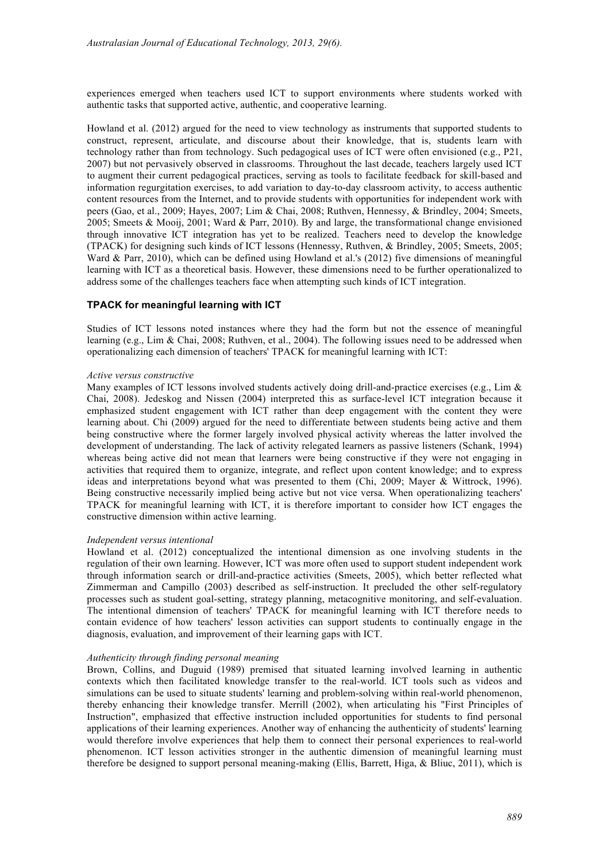experiences emerged when teachers used ICT to support environments where students worked with authentic tasks that supported active, authentic, and cooperative learning.

Howland et al. (2012) argued for the need to view technology as instruments that supported students to construct, represent, articulate, and discourse about their knowledge, that is, students learn with technology rather than from technology. Such pedagogical uses of ICT were often envisioned (e.g., P21, 2007) but not pervasively observed in classrooms. Throughout the last decade, teachers largely used ICT to augment their current pedagogical practices, serving as tools to facilitate feedback for skill-based and information regurgitation exercises, to add variation to day-to-day classroom activity, to access authentic content resources from the Internet, and to provide students with opportunities for independent work with peers (Gao, et al., 2009; Hayes, 2007; Lim & Chai, 2008; Ruthven, Hennessy, & Brindley, 2004; Smeets, 2005; Smeets & Mooij, 2001; Ward & Parr, 2010). By and large, the transformational change envisioned through innovative ICT integration has yet to be realized. Teachers need to develop the knowledge (TPACK) for designing such kinds of ICT lessons (Hennessy, Ruthven, & Brindley, 2005; Smeets, 2005; Ward & Parr, 2010), which can be defined using Howland et al.'s (2012) five dimensions of meaningful learning with ICT as a theoretical basis. However, these dimensions need to be further operationalized to address some of the challenges teachers face when attempting such kinds of ICT integration.

### **TPACK for meaningful learning with ICT**

Studies of ICT lessons noted instances where they had the form but not the essence of meaningful learning (e.g., Lim & Chai, 2008; Ruthven, et al., 2004). The following issues need to be addressed when operationalizing each dimension of teachers' TPACK for meaningful learning with ICT:

#### *Active versus constructive*

Many examples of ICT lessons involved students actively doing drill-and-practice exercises (e.g., Lim  $\&$ Chai, 2008). Jedeskog and Nissen (2004) interpreted this as surface-level ICT integration because it emphasized student engagement with ICT rather than deep engagement with the content they were learning about. Chi (2009) argued for the need to differentiate between students being active and them being constructive where the former largely involved physical activity whereas the latter involved the development of understanding. The lack of activity relegated learners as passive listeners (Schank, 1994) whereas being active did not mean that learners were being constructive if they were not engaging in activities that required them to organize, integrate, and reflect upon content knowledge; and to express ideas and interpretations beyond what was presented to them (Chi, 2009; Mayer & Wittrock, 1996). Being constructive necessarily implied being active but not vice versa. When operationalizing teachers' TPACK for meaningful learning with ICT, it is therefore important to consider how ICT engages the constructive dimension within active learning.

#### *Independent versus intentional*

Howland et al. (2012) conceptualized the intentional dimension as one involving students in the regulation of their own learning. However, ICT was more often used to support student independent work through information search or drill-and-practice activities (Smeets, 2005), which better reflected what Zimmerman and Campillo (2003) described as self-instruction. It precluded the other self-regulatory processes such as student goal-setting, strategy planning, metacognitive monitoring, and self-evaluation. The intentional dimension of teachers' TPACK for meaningful learning with ICT therefore needs to contain evidence of how teachers' lesson activities can support students to continually engage in the diagnosis, evaluation, and improvement of their learning gaps with ICT.

#### *Authenticity through finding personal meaning*

Brown, Collins, and Duguid (1989) premised that situated learning involved learning in authentic contexts which then facilitated knowledge transfer to the real-world. ICT tools such as videos and simulations can be used to situate students' learning and problem-solving within real-world phenomenon, thereby enhancing their knowledge transfer. Merrill (2002), when articulating his "First Principles of Instruction", emphasized that effective instruction included opportunities for students to find personal applications of their learning experiences. Another way of enhancing the authenticity of students' learning would therefore involve experiences that help them to connect their personal experiences to real-world phenomenon. ICT lesson activities stronger in the authentic dimension of meaningful learning must therefore be designed to support personal meaning-making (Ellis, Barrett, Higa, & Bliuc, 2011), which is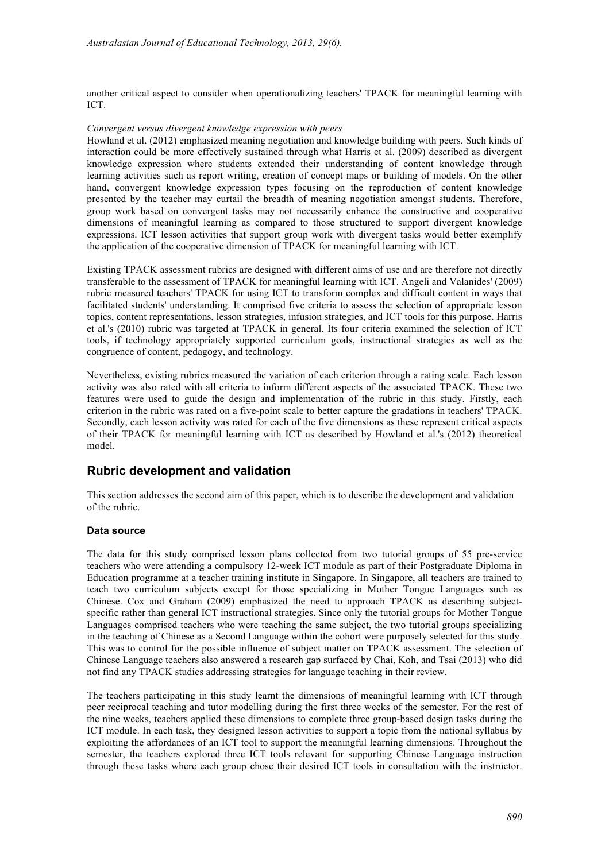another critical aspect to consider when operationalizing teachers' TPACK for meaningful learning with ICT.

#### *Convergent versus divergent knowledge expression with peers*

Howland et al. (2012) emphasized meaning negotiation and knowledge building with peers. Such kinds of interaction could be more effectively sustained through what Harris et al. (2009) described as divergent knowledge expression where students extended their understanding of content knowledge through learning activities such as report writing, creation of concept maps or building of models. On the other hand, convergent knowledge expression types focusing on the reproduction of content knowledge presented by the teacher may curtail the breadth of meaning negotiation amongst students. Therefore, group work based on convergent tasks may not necessarily enhance the constructive and cooperative dimensions of meaningful learning as compared to those structured to support divergent knowledge expressions. ICT lesson activities that support group work with divergent tasks would better exemplify the application of the cooperative dimension of TPACK for meaningful learning with ICT.

Existing TPACK assessment rubrics are designed with different aims of use and are therefore not directly transferable to the assessment of TPACK for meaningful learning with ICT. Angeli and Valanides' (2009) rubric measured teachers' TPACK for using ICT to transform complex and difficult content in ways that facilitated students' understanding. It comprised five criteria to assess the selection of appropriate lesson topics, content representations, lesson strategies, infusion strategies, and ICT tools for this purpose. Harris et al.'s (2010) rubric was targeted at TPACK in general. Its four criteria examined the selection of ICT tools, if technology appropriately supported curriculum goals, instructional strategies as well as the congruence of content, pedagogy, and technology.

Nevertheless, existing rubrics measured the variation of each criterion through a rating scale. Each lesson activity was also rated with all criteria to inform different aspects of the associated TPACK. These two features were used to guide the design and implementation of the rubric in this study. Firstly, each criterion in the rubric was rated on a five-point scale to better capture the gradations in teachers' TPACK. Secondly, each lesson activity was rated for each of the five dimensions as these represent critical aspects of their TPACK for meaningful learning with ICT as described by Howland et al.'s (2012) theoretical model.

## **Rubric development and validation**

This section addresses the second aim of this paper, which is to describe the development and validation of the rubric.

### **Data source**

The data for this study comprised lesson plans collected from two tutorial groups of 55 pre-service teachers who were attending a compulsory 12-week ICT module as part of their Postgraduate Diploma in Education programme at a teacher training institute in Singapore. In Singapore, all teachers are trained to teach two curriculum subjects except for those specializing in Mother Tongue Languages such as Chinese. Cox and Graham (2009) emphasized the need to approach TPACK as describing subjectspecific rather than general ICT instructional strategies. Since only the tutorial groups for Mother Tongue Languages comprised teachers who were teaching the same subject, the two tutorial groups specializing in the teaching of Chinese as a Second Language within the cohort were purposely selected for this study. This was to control for the possible influence of subject matter on TPACK assessment. The selection of Chinese Language teachers also answered a research gap surfaced by Chai, Koh, and Tsai (2013) who did not find any TPACK studies addressing strategies for language teaching in their review.

The teachers participating in this study learnt the dimensions of meaningful learning with ICT through peer reciprocal teaching and tutor modelling during the first three weeks of the semester. For the rest of the nine weeks, teachers applied these dimensions to complete three group-based design tasks during the ICT module. In each task, they designed lesson activities to support a topic from the national syllabus by exploiting the affordances of an ICT tool to support the meaningful learning dimensions. Throughout the semester, the teachers explored three ICT tools relevant for supporting Chinese Language instruction through these tasks where each group chose their desired ICT tools in consultation with the instructor.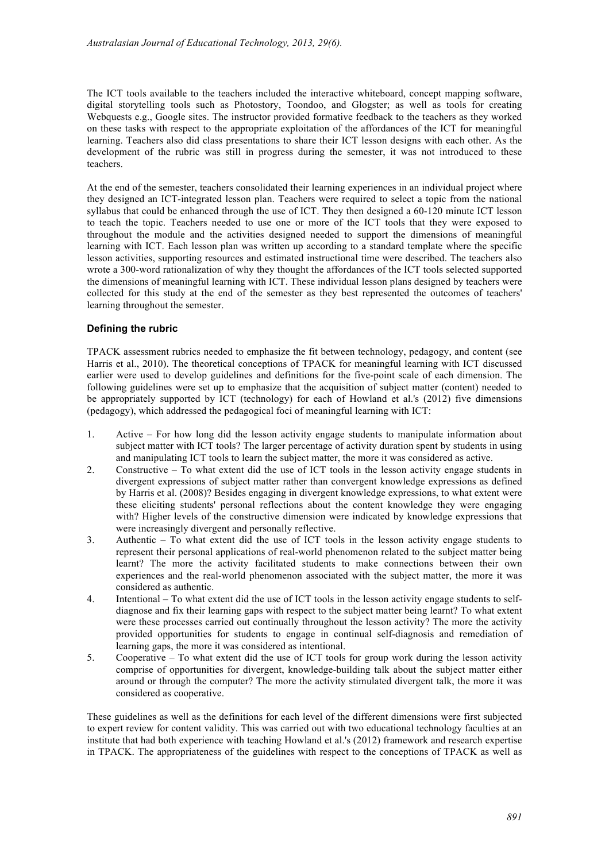The ICT tools available to the teachers included the interactive whiteboard, concept mapping software, digital storytelling tools such as Photostory, Toondoo, and Glogster; as well as tools for creating Webquests e.g., Google sites. The instructor provided formative feedback to the teachers as they worked on these tasks with respect to the appropriate exploitation of the affordances of the ICT for meaningful learning. Teachers also did class presentations to share their ICT lesson designs with each other. As the development of the rubric was still in progress during the semester, it was not introduced to these teachers.

At the end of the semester, teachers consolidated their learning experiences in an individual project where they designed an ICT-integrated lesson plan. Teachers were required to select a topic from the national syllabus that could be enhanced through the use of ICT. They then designed a 60-120 minute ICT lesson to teach the topic. Teachers needed to use one or more of the ICT tools that they were exposed to throughout the module and the activities designed needed to support the dimensions of meaningful learning with ICT. Each lesson plan was written up according to a standard template where the specific lesson activities, supporting resources and estimated instructional time were described. The teachers also wrote a 300-word rationalization of why they thought the affordances of the ICT tools selected supported the dimensions of meaningful learning with ICT. These individual lesson plans designed by teachers were collected for this study at the end of the semester as they best represented the outcomes of teachers' learning throughout the semester.

### **Defining the rubric**

TPACK assessment rubrics needed to emphasize the fit between technology, pedagogy, and content (see Harris et al., 2010). The theoretical conceptions of TPACK for meaningful learning with ICT discussed earlier were used to develop guidelines and definitions for the five-point scale of each dimension. The following guidelines were set up to emphasize that the acquisition of subject matter (content) needed to be appropriately supported by ICT (technology) for each of Howland et al.'s (2012) five dimensions (pedagogy), which addressed the pedagogical foci of meaningful learning with ICT:

- 1. Active For how long did the lesson activity engage students to manipulate information about subject matter with ICT tools? The larger percentage of activity duration spent by students in using and manipulating ICT tools to learn the subject matter, the more it was considered as active.
- 2. Constructive To what extent did the use of ICT tools in the lesson activity engage students in divergent expressions of subject matter rather than convergent knowledge expressions as defined by Harris et al. (2008)? Besides engaging in divergent knowledge expressions, to what extent were these eliciting students' personal reflections about the content knowledge they were engaging with? Higher levels of the constructive dimension were indicated by knowledge expressions that were increasingly divergent and personally reflective.
- 3. Authentic To what extent did the use of ICT tools in the lesson activity engage students to represent their personal applications of real-world phenomenon related to the subject matter being learnt? The more the activity facilitated students to make connections between their own experiences and the real-world phenomenon associated with the subject matter, the more it was considered as authentic.
- 4. Intentional To what extent did the use of ICT tools in the lesson activity engage students to selfdiagnose and fix their learning gaps with respect to the subject matter being learnt? To what extent were these processes carried out continually throughout the lesson activity? The more the activity provided opportunities for students to engage in continual self-diagnosis and remediation of learning gaps, the more it was considered as intentional.
- 5. Cooperative To what extent did the use of ICT tools for group work during the lesson activity comprise of opportunities for divergent, knowledge-building talk about the subject matter either around or through the computer? The more the activity stimulated divergent talk, the more it was considered as cooperative.

These guidelines as well as the definitions for each level of the different dimensions were first subjected to expert review for content validity. This was carried out with two educational technology faculties at an institute that had both experience with teaching Howland et al.'s (2012) framework and research expertise in TPACK. The appropriateness of the guidelines with respect to the conceptions of TPACK as well as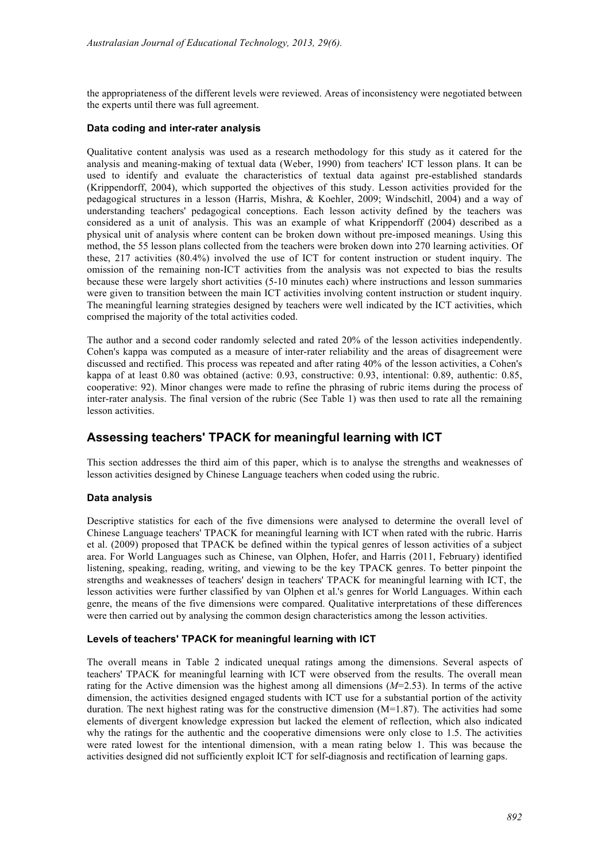the appropriateness of the different levels were reviewed. Areas of inconsistency were negotiated between the experts until there was full agreement.

#### **Data coding and inter-rater analysis**

Qualitative content analysis was used as a research methodology for this study as it catered for the analysis and meaning-making of textual data (Weber, 1990) from teachers' ICT lesson plans. It can be used to identify and evaluate the characteristics of textual data against pre-established standards (Krippendorff, 2004), which supported the objectives of this study. Lesson activities provided for the pedagogical structures in a lesson (Harris, Mishra, & Koehler, 2009; Windschitl, 2004) and a way of understanding teachers' pedagogical conceptions. Each lesson activity defined by the teachers was considered as a unit of analysis. This was an example of what Krippendorff (2004) described as a physical unit of analysis where content can be broken down without pre-imposed meanings. Using this method, the 55 lesson plans collected from the teachers were broken down into 270 learning activities. Of these, 217 activities (80.4%) involved the use of ICT for content instruction or student inquiry. The omission of the remaining non-ICT activities from the analysis was not expected to bias the results because these were largely short activities (5-10 minutes each) where instructions and lesson summaries were given to transition between the main ICT activities involving content instruction or student inquiry. The meaningful learning strategies designed by teachers were well indicated by the ICT activities, which comprised the majority of the total activities coded.

The author and a second coder randomly selected and rated 20% of the lesson activities independently. Cohen's kappa was computed as a measure of inter-rater reliability and the areas of disagreement were discussed and rectified. This process was repeated and after rating 40% of the lesson activities, a Cohen's kappa of at least 0.80 was obtained (active: 0.93, constructive: 0.93, intentional: 0.89, authentic: 0.85, cooperative: 92). Minor changes were made to refine the phrasing of rubric items during the process of inter-rater analysis. The final version of the rubric (See Table 1) was then used to rate all the remaining lesson activities.

## **Assessing teachers' TPACK for meaningful learning with ICT**

This section addresses the third aim of this paper, which is to analyse the strengths and weaknesses of lesson activities designed by Chinese Language teachers when coded using the rubric.

### **Data analysis**

Descriptive statistics for each of the five dimensions were analysed to determine the overall level of Chinese Language teachers' TPACK for meaningful learning with ICT when rated with the rubric. Harris et al. (2009) proposed that TPACK be defined within the typical genres of lesson activities of a subject area. For World Languages such as Chinese, van Olphen, Hofer, and Harris (2011, February) identified listening, speaking, reading, writing, and viewing to be the key TPACK genres. To better pinpoint the strengths and weaknesses of teachers' design in teachers' TPACK for meaningful learning with ICT, the lesson activities were further classified by van Olphen et al.'s genres for World Languages. Within each genre, the means of the five dimensions were compared. Qualitative interpretations of these differences were then carried out by analysing the common design characteristics among the lesson activities.

### **Levels of teachers' TPACK for meaningful learning with ICT**

The overall means in Table 2 indicated unequal ratings among the dimensions. Several aspects of teachers' TPACK for meaningful learning with ICT were observed from the results. The overall mean rating for the Active dimension was the highest among all dimensions (*M*=2.53). In terms of the active dimension, the activities designed engaged students with ICT use for a substantial portion of the activity duration. The next highest rating was for the constructive dimension  $(M=1.87)$ . The activities had some elements of divergent knowledge expression but lacked the element of reflection, which also indicated why the ratings for the authentic and the cooperative dimensions were only close to 1.5. The activities were rated lowest for the intentional dimension, with a mean rating below 1. This was because the activities designed did not sufficiently exploit ICT for self-diagnosis and rectification of learning gaps.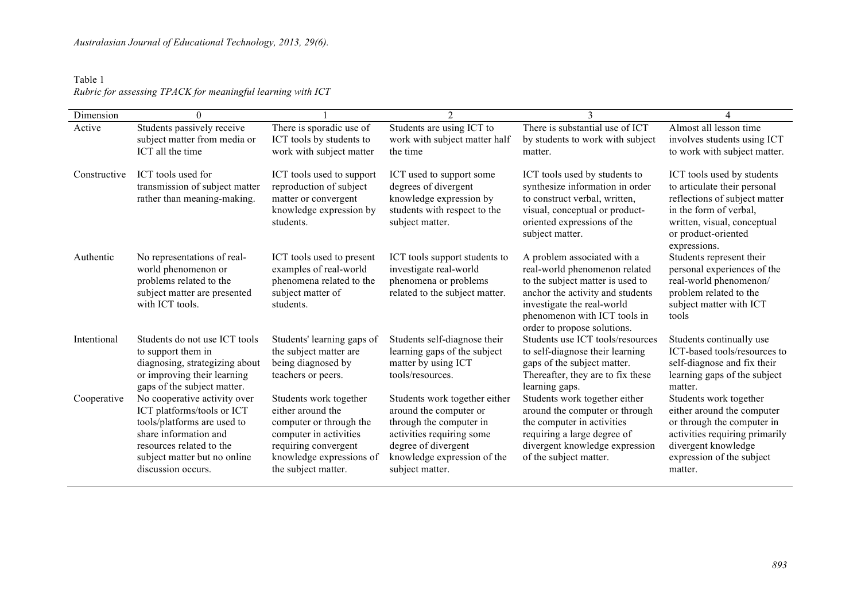## Table 1 *Rubric for assessing TPACK for meaningful learning with ICT*

| Dimension    | $\boldsymbol{0}$                                                                                                                                                                                     |                                                                                                                                                                             | $\overline{2}$                                                                                                                                                                           | 3                                                                                                                                                                                                                                 |                                                                                                                                                                                             |
|--------------|------------------------------------------------------------------------------------------------------------------------------------------------------------------------------------------------------|-----------------------------------------------------------------------------------------------------------------------------------------------------------------------------|------------------------------------------------------------------------------------------------------------------------------------------------------------------------------------------|-----------------------------------------------------------------------------------------------------------------------------------------------------------------------------------------------------------------------------------|---------------------------------------------------------------------------------------------------------------------------------------------------------------------------------------------|
| Active       | Students passively receive<br>subject matter from media or<br>ICT all the time                                                                                                                       | There is sporadic use of<br>ICT tools by students to<br>work with subject matter                                                                                            | Students are using ICT to<br>work with subject matter half<br>the time                                                                                                                   | There is substantial use of ICT<br>by students to work with subject<br>matter.                                                                                                                                                    | Almost all lesson time<br>involves students using ICT<br>to work with subject matter.                                                                                                       |
| Constructive | ICT tools used for<br>transmission of subject matter<br>rather than meaning-making.                                                                                                                  | ICT tools used to support<br>reproduction of subject<br>matter or convergent<br>knowledge expression by<br>students.                                                        | ICT used to support some<br>degrees of divergent<br>knowledge expression by<br>students with respect to the<br>subject matter.                                                           | ICT tools used by students to<br>synthesize information in order<br>to construct verbal, written,<br>visual, conceptual or product-<br>oriented expressions of the<br>subject matter.                                             | ICT tools used by students<br>to articulate their personal<br>reflections of subject matter<br>in the form of verbal,<br>written, visual, conceptual<br>or product-oriented<br>expressions. |
| Authentic    | No representations of real-<br>world phenomenon or<br>problems related to the<br>subject matter are presented<br>with ICT tools.                                                                     | ICT tools used to present<br>examples of real-world<br>phenomena related to the<br>subject matter of<br>students.                                                           | ICT tools support students to<br>investigate real-world<br>phenomena or problems<br>related to the subject matter.                                                                       | A problem associated with a<br>real-world phenomenon related<br>to the subject matter is used to<br>anchor the activity and students<br>investigate the real-world<br>phenomenon with ICT tools in<br>order to propose solutions. | Students represent their<br>personal experiences of the<br>real-world phenomenon/<br>problem related to the<br>subject matter with ICT<br>tools                                             |
| Intentional  | Students do not use ICT tools<br>to support them in<br>diagnosing, strategizing about<br>or improving their learning<br>gaps of the subject matter.                                                  | Students' learning gaps of<br>the subject matter are<br>being diagnosed by<br>teachers or peers.                                                                            | Students self-diagnose their<br>learning gaps of the subject<br>matter by using ICT<br>tools/resources.                                                                                  | Students use ICT tools/resources<br>to self-diagnose their learning<br>gaps of the subject matter.<br>Thereafter, they are to fix these<br>learning gaps.                                                                         | Students continually use<br>ICT-based tools/resources to<br>self-diagnose and fix their<br>learning gaps of the subject<br>matter.                                                          |
| Cooperative  | No cooperative activity over<br>ICT platforms/tools or ICT<br>tools/platforms are used to<br>share information and<br>resources related to the<br>subject matter but no online<br>discussion occurs. | Students work together<br>either around the<br>computer or through the<br>computer in activities<br>requiring convergent<br>knowledge expressions of<br>the subject matter. | Students work together either<br>around the computer or<br>through the computer in<br>activities requiring some<br>degree of divergent<br>knowledge expression of the<br>subject matter. | Students work together either<br>around the computer or through<br>the computer in activities<br>requiring a large degree of<br>divergent knowledge expression<br>of the subject matter.                                          | Students work together<br>either around the computer<br>or through the computer in<br>activities requiring primarily<br>divergent knowledge<br>expression of the subject<br>matter.         |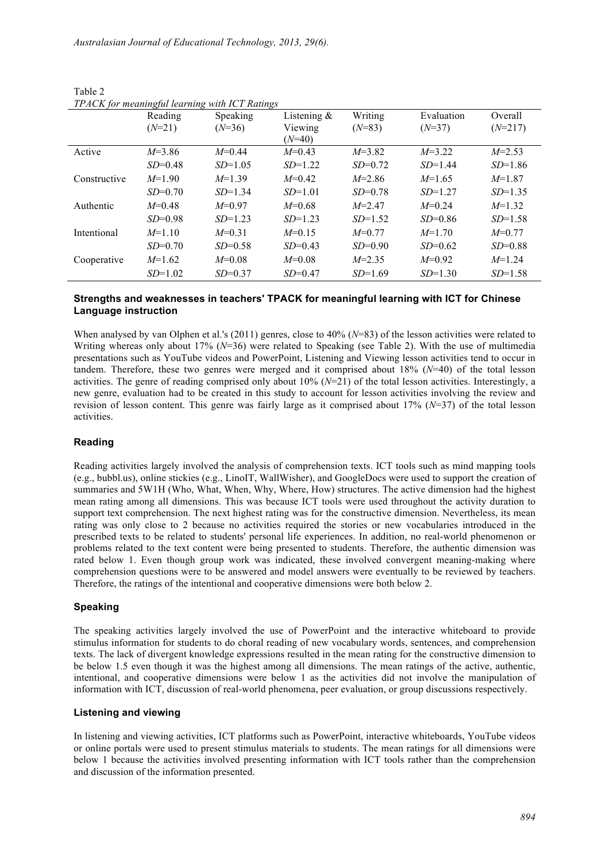|              | $\sim$<br>Reading | Speaking  | Listening $\&$ | Writing    | Evaluation | Overall   |
|--------------|-------------------|-----------|----------------|------------|------------|-----------|
|              | $(N=21)$          | $(N=36)$  | Viewing        | $(N=83)$   | $(N=37)$   | $(N=217)$ |
|              |                   |           | $(N=40)$       |            |            |           |
| Active       | $M=3.86$          | $M=0.44$  | $M=0.43$       | $M=3.82$   | $M=3.22$   | $M=2.53$  |
|              | $SD=0.48$         | $SD=1.05$ | $SD=1.22$      | $SD=0.72$  | $SD=1.44$  | $SD=1.86$ |
| Constructive | $M=1.90$          | $M=1.39$  | $M=0.42$       | $M = 2.86$ | $M=1.65$   | $M=1.87$  |
|              | $SD=0.70$         | $SD=1.34$ | $SD=1.01$      | $SD=0.78$  | $SD=1.27$  | $SD=1.35$ |
| Authentic    | $M=0.48$          | $M=0.97$  | $M=0.68$       | $M = 2.47$ | $M=0.24$   | $M=1.32$  |
|              | $SD=0.98$         | $SD=1.23$ | $SD=1.23$      | $SD=1.52$  | $SD=0.86$  | $SD=1.58$ |
| Intentional  | $M=1.10$          | $M=0.31$  | $M=0.15$       | $M=0.77$   | $M=1.70$   | $M=0.77$  |
|              | $SD=0.70$         | $SD=0.58$ | $SD=0.43$      | $SD=0.90$  | $SD=0.62$  | $SD=0.88$ |
| Cooperative  | $M=1.62$          | $M=0.08$  | $M=0.08$       | $M=2.35$   | $M=0.92$   | $M=1.24$  |
|              | $SD=1.02$         | $SD=0.37$ | $SD=0.47$      | $SD=1.69$  | $SD=1.30$  | $SD=1.58$ |

Table 2 *TPACK for meaningful learning with ICT Ratings*

### **Strengths and weaknesses in teachers' TPACK for meaningful learning with ICT for Chinese Language instruction**

When analysed by van Olphen et al.'s (2011) genres, close to 40% (*N*=83) of the lesson activities were related to Writing whereas only about 17% ( $N=36$ ) were related to Speaking (see Table 2). With the use of multimedia presentations such as YouTube videos and PowerPoint, Listening and Viewing lesson activities tend to occur in tandem. Therefore, these two genres were merged and it comprised about 18% (*N*=40) of the total lesson activities. The genre of reading comprised only about 10% (*N*=21) of the total lesson activities. Interestingly, a new genre, evaluation had to be created in this study to account for lesson activities involving the review and revision of lesson content. This genre was fairly large as it comprised about 17% (*N*=37) of the total lesson activities.

### **Reading**

Reading activities largely involved the analysis of comprehension texts. ICT tools such as mind mapping tools (e.g., bubbl.us), online stickies (e.g., LinoIT, WallWisher), and GoogleDocs were used to support the creation of summaries and 5W1H (Who, What, When, Why, Where, How) structures. The active dimension had the highest mean rating among all dimensions. This was because ICT tools were used throughout the activity duration to support text comprehension. The next highest rating was for the constructive dimension. Nevertheless, its mean rating was only close to 2 because no activities required the stories or new vocabularies introduced in the prescribed texts to be related to students' personal life experiences. In addition, no real-world phenomenon or problems related to the text content were being presented to students. Therefore, the authentic dimension was rated below 1. Even though group work was indicated, these involved convergent meaning-making where comprehension questions were to be answered and model answers were eventually to be reviewed by teachers. Therefore, the ratings of the intentional and cooperative dimensions were both below 2.

### **Speaking**

The speaking activities largely involved the use of PowerPoint and the interactive whiteboard to provide stimulus information for students to do choral reading of new vocabulary words, sentences, and comprehension texts. The lack of divergent knowledge expressions resulted in the mean rating for the constructive dimension to be below 1.5 even though it was the highest among all dimensions. The mean ratings of the active, authentic, intentional, and cooperative dimensions were below 1 as the activities did not involve the manipulation of information with ICT, discussion of real-world phenomena, peer evaluation, or group discussions respectively.

### **Listening and viewing**

In listening and viewing activities, ICT platforms such as PowerPoint, interactive whiteboards, YouTube videos or online portals were used to present stimulus materials to students. The mean ratings for all dimensions were below 1 because the activities involved presenting information with ICT tools rather than the comprehension and discussion of the information presented.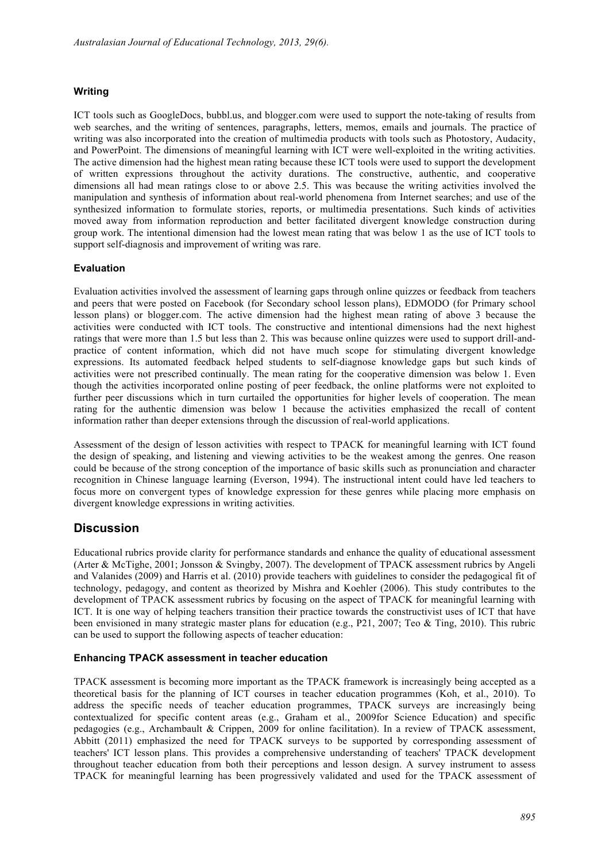### **Writing**

ICT tools such as GoogleDocs, bubbl.us, and blogger.com were used to support the note-taking of results from web searches, and the writing of sentences, paragraphs, letters, memos, emails and journals. The practice of writing was also incorporated into the creation of multimedia products with tools such as Photostory, Audacity, and PowerPoint. The dimensions of meaningful learning with ICT were well-exploited in the writing activities. The active dimension had the highest mean rating because these ICT tools were used to support the development of written expressions throughout the activity durations. The constructive, authentic, and cooperative dimensions all had mean ratings close to or above 2.5. This was because the writing activities involved the manipulation and synthesis of information about real-world phenomena from Internet searches; and use of the synthesized information to formulate stories, reports, or multimedia presentations. Such kinds of activities moved away from information reproduction and better facilitated divergent knowledge construction during group work. The intentional dimension had the lowest mean rating that was below 1 as the use of ICT tools to support self-diagnosis and improvement of writing was rare.

### **Evaluation**

Evaluation activities involved the assessment of learning gaps through online quizzes or feedback from teachers and peers that were posted on Facebook (for Secondary school lesson plans), EDMODO (for Primary school lesson plans) or blogger.com. The active dimension had the highest mean rating of above 3 because the activities were conducted with ICT tools. The constructive and intentional dimensions had the next highest ratings that were more than 1.5 but less than 2. This was because online quizzes were used to support drill-andpractice of content information, which did not have much scope for stimulating divergent knowledge expressions. Its automated feedback helped students to self-diagnose knowledge gaps but such kinds of activities were not prescribed continually. The mean rating for the cooperative dimension was below 1. Even though the activities incorporated online posting of peer feedback, the online platforms were not exploited to further peer discussions which in turn curtailed the opportunities for higher levels of cooperation. The mean rating for the authentic dimension was below 1 because the activities emphasized the recall of content information rather than deeper extensions through the discussion of real-world applications.

Assessment of the design of lesson activities with respect to TPACK for meaningful learning with ICT found the design of speaking, and listening and viewing activities to be the weakest among the genres. One reason could be because of the strong conception of the importance of basic skills such as pronunciation and character recognition in Chinese language learning (Everson, 1994). The instructional intent could have led teachers to focus more on convergent types of knowledge expression for these genres while placing more emphasis on divergent knowledge expressions in writing activities.

## **Discussion**

Educational rubrics provide clarity for performance standards and enhance the quality of educational assessment (Arter & McTighe, 2001; Jonsson & Svingby, 2007). The development of TPACK assessment rubrics by Angeli and Valanides (2009) and Harris et al. (2010) provide teachers with guidelines to consider the pedagogical fit of technology, pedagogy, and content as theorized by Mishra and Koehler (2006). This study contributes to the development of TPACK assessment rubrics by focusing on the aspect of TPACK for meaningful learning with ICT. It is one way of helping teachers transition their practice towards the constructivist uses of ICT that have been envisioned in many strategic master plans for education (e.g., P21, 2007; Teo & Ting, 2010). This rubric can be used to support the following aspects of teacher education:

### **Enhancing TPACK assessment in teacher education**

TPACK assessment is becoming more important as the TPACK framework is increasingly being accepted as a theoretical basis for the planning of ICT courses in teacher education programmes (Koh, et al., 2010). To address the specific needs of teacher education programmes, TPACK surveys are increasingly being contextualized for specific content areas (e.g., Graham et al., 2009for Science Education) and specific pedagogies (e.g., Archambault & Crippen, 2009 for online facilitation). In a review of TPACK assessment, Abbitt (2011) emphasized the need for TPACK surveys to be supported by corresponding assessment of teachers' ICT lesson plans. This provides a comprehensive understanding of teachers' TPACK development throughout teacher education from both their perceptions and lesson design. A survey instrument to assess TPACK for meaningful learning has been progressively validated and used for the TPACK assessment of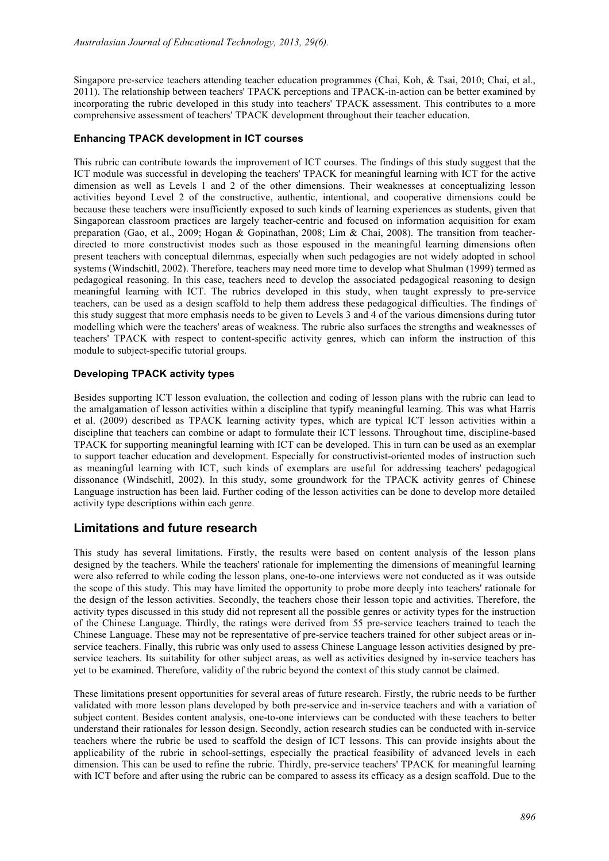Singapore pre-service teachers attending teacher education programmes (Chai, Koh, & Tsai, 2010; Chai, et al., 2011). The relationship between teachers' TPACK perceptions and TPACK-in-action can be better examined by incorporating the rubric developed in this study into teachers' TPACK assessment. This contributes to a more comprehensive assessment of teachers' TPACK development throughout their teacher education.

### **Enhancing TPACK development in ICT courses**

This rubric can contribute towards the improvement of ICT courses. The findings of this study suggest that the ICT module was successful in developing the teachers' TPACK for meaningful learning with ICT for the active dimension as well as Levels 1 and 2 of the other dimensions. Their weaknesses at conceptualizing lesson activities beyond Level 2 of the constructive, authentic, intentional, and cooperative dimensions could be because these teachers were insufficiently exposed to such kinds of learning experiences as students, given that Singaporean classroom practices are largely teacher-centric and focused on information acquisition for exam preparation (Gao, et al., 2009; Hogan & Gopinathan, 2008; Lim & Chai, 2008). The transition from teacherdirected to more constructivist modes such as those espoused in the meaningful learning dimensions often present teachers with conceptual dilemmas, especially when such pedagogies are not widely adopted in school systems (Windschitl, 2002). Therefore, teachers may need more time to develop what Shulman (1999) termed as pedagogical reasoning. In this case, teachers need to develop the associated pedagogical reasoning to design meaningful learning with ICT. The rubrics developed in this study, when taught expressly to pre-service teachers, can be used as a design scaffold to help them address these pedagogical difficulties. The findings of this study suggest that more emphasis needs to be given to Levels 3 and 4 of the various dimensions during tutor modelling which were the teachers' areas of weakness. The rubric also surfaces the strengths and weaknesses of teachers' TPACK with respect to content-specific activity genres, which can inform the instruction of this module to subject-specific tutorial groups.

### **Developing TPACK activity types**

Besides supporting ICT lesson evaluation, the collection and coding of lesson plans with the rubric can lead to the amalgamation of lesson activities within a discipline that typify meaningful learning. This was what Harris et al. (2009) described as TPACK learning activity types, which are typical ICT lesson activities within a discipline that teachers can combine or adapt to formulate their ICT lessons. Throughout time, discipline-based TPACK for supporting meaningful learning with ICT can be developed. This in turn can be used as an exemplar to support teacher education and development. Especially for constructivist-oriented modes of instruction such as meaningful learning with ICT, such kinds of exemplars are useful for addressing teachers' pedagogical dissonance (Windschitl, 2002). In this study, some groundwork for the TPACK activity genres of Chinese Language instruction has been laid. Further coding of the lesson activities can be done to develop more detailed activity type descriptions within each genre.

## **Limitations and future research**

This study has several limitations. Firstly, the results were based on content analysis of the lesson plans designed by the teachers. While the teachers' rationale for implementing the dimensions of meaningful learning were also referred to while coding the lesson plans, one-to-one interviews were not conducted as it was outside the scope of this study. This may have limited the opportunity to probe more deeply into teachers' rationale for the design of the lesson activities. Secondly, the teachers chose their lesson topic and activities. Therefore, the activity types discussed in this study did not represent all the possible genres or activity types for the instruction of the Chinese Language. Thirdly, the ratings were derived from 55 pre-service teachers trained to teach the Chinese Language. These may not be representative of pre-service teachers trained for other subject areas or inservice teachers. Finally, this rubric was only used to assess Chinese Language lesson activities designed by preservice teachers. Its suitability for other subject areas, as well as activities designed by in-service teachers has yet to be examined. Therefore, validity of the rubric beyond the context of this study cannot be claimed.

These limitations present opportunities for several areas of future research. Firstly, the rubric needs to be further validated with more lesson plans developed by both pre-service and in-service teachers and with a variation of subject content. Besides content analysis, one-to-one interviews can be conducted with these teachers to better understand their rationales for lesson design. Secondly, action research studies can be conducted with in-service teachers where the rubric be used to scaffold the design of ICT lessons. This can provide insights about the applicability of the rubric in school-settings, especially the practical feasibility of advanced levels in each dimension. This can be used to refine the rubric. Thirdly, pre-service teachers' TPACK for meaningful learning with ICT before and after using the rubric can be compared to assess its efficacy as a design scaffold. Due to the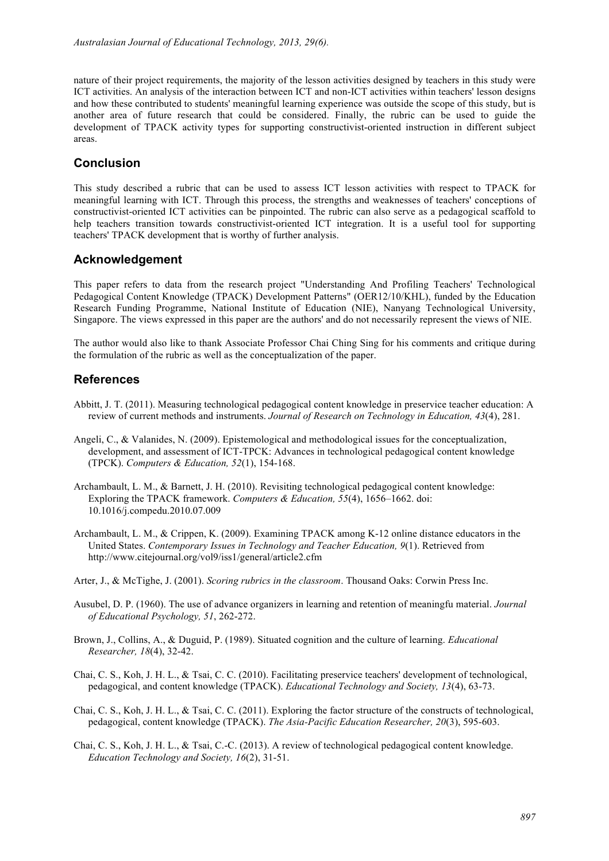nature of their project requirements, the majority of the lesson activities designed by teachers in this study were ICT activities. An analysis of the interaction between ICT and non-ICT activities within teachers' lesson designs and how these contributed to students' meaningful learning experience was outside the scope of this study, but is another area of future research that could be considered. Finally, the rubric can be used to guide the development of TPACK activity types for supporting constructivist-oriented instruction in different subject areas.

## **Conclusion**

This study described a rubric that can be used to assess ICT lesson activities with respect to TPACK for meaningful learning with ICT. Through this process, the strengths and weaknesses of teachers' conceptions of constructivist-oriented ICT activities can be pinpointed. The rubric can also serve as a pedagogical scaffold to help teachers transition towards constructivist-oriented ICT integration. It is a useful tool for supporting teachers' TPACK development that is worthy of further analysis.

## **Acknowledgement**

This paper refers to data from the research project "Understanding And Profiling Teachers' Technological Pedagogical Content Knowledge (TPACK) Development Patterns" (OER12/10/KHL), funded by the Education Research Funding Programme, National Institute of Education (NIE), Nanyang Technological University, Singapore. The views expressed in this paper are the authors' and do not necessarily represent the views of NIE.

The author would also like to thank Associate Professor Chai Ching Sing for his comments and critique during the formulation of the rubric as well as the conceptualization of the paper.

## **References**

- Abbitt, J. T. (2011). Measuring technological pedagogical content knowledge in preservice teacher education: A review of current methods and instruments. *Journal of Research on Technology in Education, 43*(4), 281.
- Angeli, C., & Valanides, N. (2009). Epistemological and methodological issues for the conceptualization, development, and assessment of ICT-TPCK: Advances in technological pedagogical content knowledge (TPCK). *Computers & Education, 52*(1), 154-168.
- Archambault, L. M., & Barnett, J. H. (2010). Revisiting technological pedagogical content knowledge: Exploring the TPACK framework. *Computers & Education, 55*(4), 1656–1662. doi: 10.1016/j.compedu.2010.07.009
- Archambault, L. M., & Crippen, K. (2009). Examining TPACK among K-12 online distance educators in the United States. *Contemporary Issues in Technology and Teacher Education, 9*(1). Retrieved from http://www.citejournal.org/vol9/iss1/general/article2.cfm
- Arter, J., & McTighe, J. (2001). *Scoring rubrics in the classroom*. Thousand Oaks: Corwin Press Inc.
- Ausubel, D. P. (1960). The use of advance organizers in learning and retention of meaningfu material. *Journal of Educational Psychology, 51*, 262-272.
- Brown, J., Collins, A., & Duguid, P. (1989). Situated cognition and the culture of learning. *Educational Researcher, 18*(4), 32-42.
- Chai, C. S., Koh, J. H. L., & Tsai, C. C. (2010). Facilitating preservice teachers' development of technological, pedagogical, and content knowledge (TPACK). *Educational Technology and Society, 13*(4), 63-73.
- Chai, C. S., Koh, J. H. L., & Tsai, C. C. (2011). Exploring the factor structure of the constructs of technological, pedagogical, content knowledge (TPACK). *The Asia-Pacific Education Researcher, 20*(3), 595-603.
- Chai, C. S., Koh, J. H. L., & Tsai, C.-C. (2013). A review of technological pedagogical content knowledge. *Education Technology and Society, 16*(2), 31-51.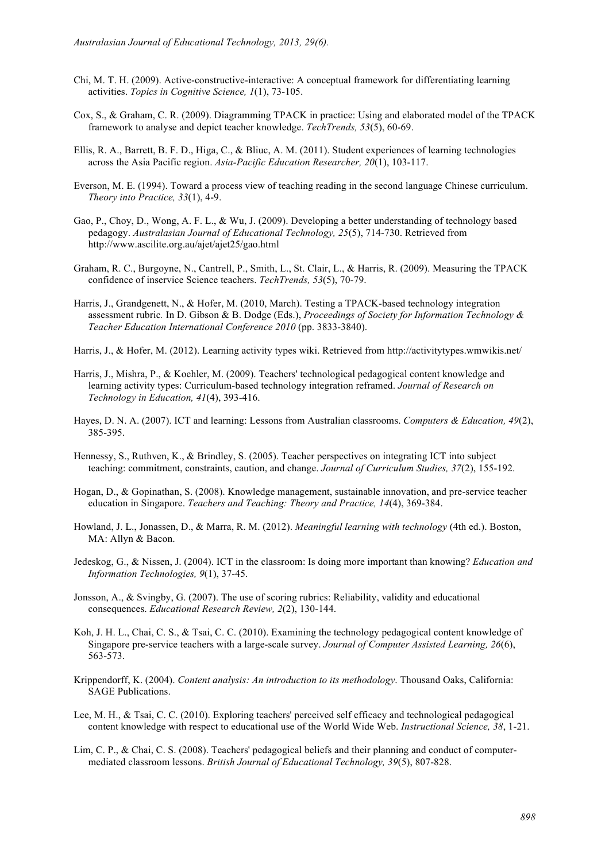- Chi, M. T. H. (2009). Active-constructive-interactive: A conceptual framework for differentiating learning activities. *Topics in Cognitive Science, 1*(1), 73-105.
- Cox, S., & Graham, C. R. (2009). Diagramming TPACK in practice: Using and elaborated model of the TPACK framework to analyse and depict teacher knowledge. *TechTrends, 53*(5), 60-69.
- Ellis, R. A., Barrett, B. F. D., Higa, C., & Bliuc, A. M. (2011). Student experiences of learning technologies across the Asia Pacific region. *Asia-Pacific Education Researcher, 20*(1), 103-117.
- Everson, M. E. (1994). Toward a process view of teaching reading in the second language Chinese curriculum. *Theory into Practice, 33*(1), 4-9.
- Gao, P., Choy, D., Wong, A. F. L., & Wu, J. (2009). Developing a better understanding of technology based pedagogy. *Australasian Journal of Educational Technology, 25*(5), 714-730. Retrieved from http://www.ascilite.org.au/ajet/ajet25/gao.html
- Graham, R. C., Burgoyne, N., Cantrell, P., Smith, L., St. Clair, L., & Harris, R. (2009). Measuring the TPACK confidence of inservice Science teachers. *TechTrends, 53*(5), 70-79.
- Harris, J., Grandgenett, N., & Hofer, M. (2010, March). Testing a TPACK-based technology integration assessment rubric*.* In D. Gibson & B. Dodge (Eds.), *Proceedings of Society for Information Technology & Teacher Education International Conference 2010* (pp. 3833-3840).
- Harris, J., & Hofer, M. (2012). Learning activity types wiki. Retrieved from http://activitytypes.wmwikis.net/
- Harris, J., Mishra, P., & Koehler, M. (2009). Teachers' technological pedagogical content knowledge and learning activity types: Curriculum-based technology integration reframed. *Journal of Research on Technology in Education, 41*(4), 393-416.
- Hayes, D. N. A. (2007). ICT and learning: Lessons from Australian classrooms. *Computers & Education, 49*(2), 385-395.
- Hennessy, S., Ruthven, K., & Brindley, S. (2005). Teacher perspectives on integrating ICT into subject teaching: commitment, constraints, caution, and change. *Journal of Curriculum Studies, 37*(2), 155-192.
- Hogan, D., & Gopinathan, S. (2008). Knowledge management, sustainable innovation, and pre-service teacher education in Singapore. *Teachers and Teaching: Theory and Practice, 14*(4), 369-384.
- Howland, J. L., Jonassen, D., & Marra, R. M. (2012). *Meaningful learning with technology* (4th ed.). Boston, MA: Allyn & Bacon.
- Jedeskog, G., & Nissen, J. (2004). ICT in the classroom: Is doing more important than knowing? *Education and Information Technologies, 9*(1), 37-45.
- Jonsson, A., & Svingby, G. (2007). The use of scoring rubrics: Reliability, validity and educational consequences. *Educational Research Review, 2*(2), 130-144.
- Koh, J. H. L., Chai, C. S., & Tsai, C. C. (2010). Examining the technology pedagogical content knowledge of Singapore pre-service teachers with a large-scale survey. *Journal of Computer Assisted Learning, 26*(6), 563-573.
- Krippendorff, K. (2004). *Content analysis: An introduction to its methodology*. Thousand Oaks, California: SAGE Publications.
- Lee, M. H., & Tsai, C. C. (2010). Exploring teachers' perceived self efficacy and technological pedagogical content knowledge with respect to educational use of the World Wide Web. *Instructional Science, 38*, 1-21.
- Lim, C. P., & Chai, C. S. (2008). Teachers' pedagogical beliefs and their planning and conduct of computermediated classroom lessons. *British Journal of Educational Technology, 39*(5), 807-828.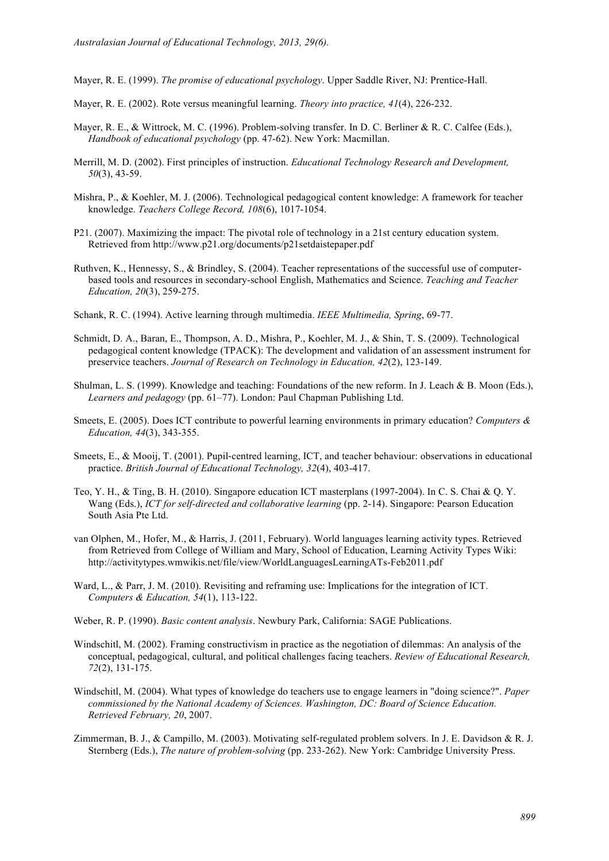Mayer, R. E. (1999). *The promise of educational psychology*. Upper Saddle River, NJ: Prentice-Hall.

- Mayer, R. E. (2002). Rote versus meaningful learning. *Theory into practice, 41*(4), 226-232.
- Mayer, R. E., & Wittrock, M. C. (1996). Problem-solving transfer. In D. C. Berliner & R. C. Calfee (Eds.), *Handbook of educational psychology* (pp. 47-62). New York: Macmillan.
- Merrill, M. D. (2002). First principles of instruction. *Educational Technology Research and Development, 50*(3), 43-59.
- Mishra, P., & Koehler, M. J. (2006). Technological pedagogical content knowledge: A framework for teacher knowledge. *Teachers College Record, 108*(6), 1017-1054.
- P21. (2007). Maximizing the impact: The pivotal role of technology in a 21st century education system. Retrieved from http://www.p21.org/documents/p21setdaistepaper.pdf
- Ruthven, K., Hennessy, S., & Brindley, S. (2004). Teacher representations of the successful use of computerbased tools and resources in secondary-school English, Mathematics and Science. *Teaching and Teacher Education, 20*(3), 259-275.
- Schank, R. C. (1994). Active learning through multimedia. *IEEE Multimedia, Spring*, 69-77.
- Schmidt, D. A., Baran, E., Thompson, A. D., Mishra, P., Koehler, M. J., & Shin, T. S. (2009). Technological pedagogical content knowledge (TPACK): The development and validation of an assessment instrument for preservice teachers. *Journal of Research on Technology in Education, 42*(2), 123-149.
- Shulman, L. S. (1999). Knowledge and teaching: Foundations of the new reform. In J. Leach & B. Moon (Eds.), *Learners and pedagogy* (pp. 61–77). London: Paul Chapman Publishing Ltd.
- Smeets, E. (2005). Does ICT contribute to powerful learning environments in primary education? *Computers & Education, 44*(3), 343-355.
- Smeets, E., & Mooij, T. (2001). Pupil-centred learning, ICT, and teacher behaviour: observations in educational practice. *British Journal of Educational Technology, 32*(4), 403-417.
- Teo, Y. H., & Ting, B. H. (2010). Singapore education ICT masterplans (1997-2004). In C. S. Chai & Q. Y. Wang (Eds.), *ICT for self-directed and collaborative learning* (pp. 2-14). Singapore: Pearson Education South Asia Pte Ltd.
- van Olphen, M., Hofer, M., & Harris, J. (2011, February). World languages learning activity types. Retrieved from Retrieved from College of William and Mary, School of Education, Learning Activity Types Wiki: http://activitytypes.wmwikis.net/file/view/WorldLanguagesLearningATs-Feb2011.pdf
- Ward, L., & Parr, J. M. (2010). Revisiting and reframing use: Implications for the integration of ICT. *Computers & Education, 54*(1), 113-122.
- Weber, R. P. (1990). *Basic content analysis*. Newbury Park, California: SAGE Publications.
- Windschitl, M. (2002). Framing constructivism in practice as the negotiation of dilemmas: An analysis of the conceptual, pedagogical, cultural, and political challenges facing teachers. *Review of Educational Research, 72*(2), 131-175.
- Windschitl, M. (2004). What types of knowledge do teachers use to engage learners in "doing science?". *Paper commissioned by the National Academy of Sciences. Washington, DC: Board of Science Education. Retrieved February, 20*, 2007.
- Zimmerman, B. J., & Campillo, M. (2003). Motivating self-regulated problem solvers. In J. E. Davidson & R. J. Sternberg (Eds.), *The nature of problem-solving* (pp. 233-262). New York: Cambridge University Press.